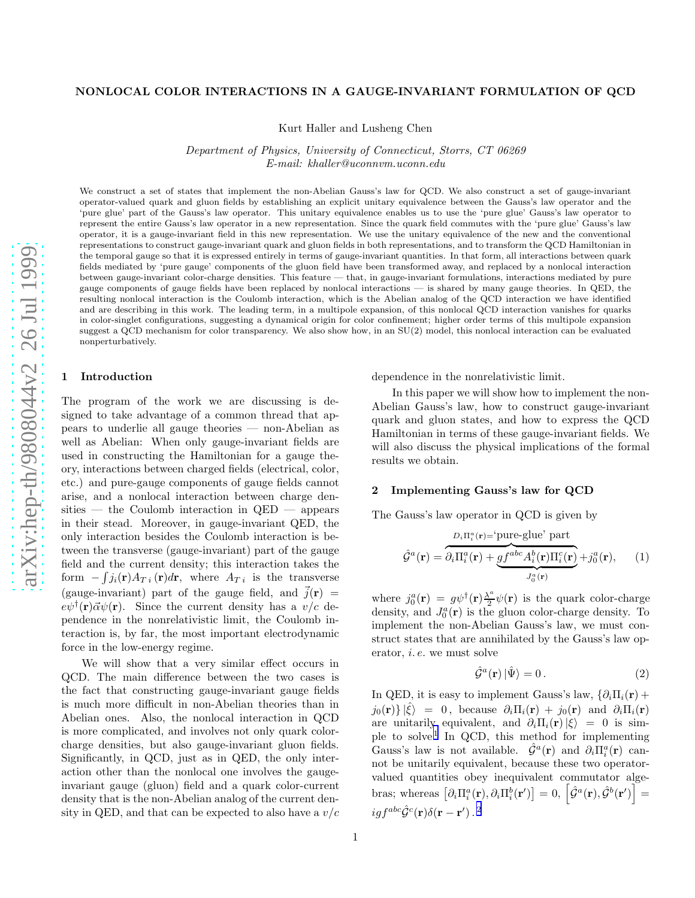# NONLOCAL COLOR INTERACTIONS IN A GAUGE-INVARIANT FORMULATION OF QCD

Kurt Haller and Lusheng Chen

Department of Physics, University of Connecticut, Storrs, CT 06269 E-mail: khaller@uconnvm.uconn.edu

We construct a set of states that implement the non-Abelian Gauss's law for QCD. We also construct a set of gauge-invarian t operator-valued quark and gluon fields by establishing an explicit unitary equivalence between the Gauss's law operator and the 'pure glue' part of the Gauss's law operator. This unitary equivalence enables us to use the 'pure glue' Gauss's law operator to represent the entire Gauss's law operator in a new representation. Since the quark field commutes with the 'pure glue' Gauss's law operator, it is a gauge-invariant field in this new representation. We use the unitary equivalence of the new and the conventional representations to construct gauge-invariant quark and gluon fields in both representations, and to transform the QCD Hamiltonian in the temporal gauge so that it is expressed entirely in terms of gauge-invariant quantities. In that form, all interactions between quark fields mediated by 'pure gauge' components of the gluon field have been transformed away, and replaced by a nonlocal interaction between gauge-invariant color-charge densities. This feature — that, in gauge-invariant formulations, interactions mediated by pure gauge components of gauge fields have been replaced by nonlocal interactions — is shared by many gauge theories. In QED, th e resulting nonlocal interaction is the Coulomb interaction, which is the Abelian analog of the QCD interaction we have identified and are describing in this work. The leading term, in a multipole expansion, of this nonlocal QCD interaction vanishes for quarks in color-singlet configurations, suggesting a dynamical origin for color confinement; higher order terms of this multipole expansion suggest a QCD mechanism for color transparency. We also show how, in an SU(2) model, this nonlocal interaction can be evaluated nonperturbatively.

#### 1 Introduction

The program of the work we are discussing is designed to take advantage of a common thread that appears to underlie all gauge theories — non-Abelian as well as Abelian: When only gauge-invariant fields are used in constructing the Hamiltonian for a gauge theory, interactions between charged fields (electrical, color, etc.) and pure-gauge components of gauge fields cannot arise, and a nonlocal interaction between charge densities — the Coulomb interaction in  $QED$  — appears in their stead. Moreover, in gauge-invariant QED, the only interaction besides the Coulomb interaction is between the transverse (gauge-invariant) part of the gauge field and the current density; this interaction takes the form  $-\int j_i(\mathbf{r})A_T i(\mathbf{r})d\mathbf{r}$ , where  $A_T i$  is the transverse (gauge-invariant) part of the gauge field, and  $\vec{j}(\mathbf{r})$  =  $e\psi^{\dagger}(\mathbf{r})\vec{\alpha}\psi(\mathbf{r})$ . Since the current density has a  $v/c$  dependence in the nonrelativistic limit, the Coulomb interaction is, by far, the most important electrodynamic force in the low-energy regime.

We will show that a very similar effect occurs in QCD. The main difference between the two cases is the fact that constructing gauge-invariant gauge fields is much more difficult in non-Abelian theories than in Abelian ones. Also, the nonlocal interaction in QCD is more complicated, and involves not only quark colorcharge densities, but also gauge-invariant gluon fields. Significantly, in QCD, just as in QED, the only interaction other than the nonlocal one involves the gaugeinvariant gauge (gluon) field and a quark color-current density that is the non-Abelian analog of the current density in QED, and that can be expected to also have a  $v/c$  dependence in the nonrelativistic limit.

In this paper we will show how to implement the non-Abelian Gauss's law, how to construct gauge-invariant quark and gluon states, and how to express the QCD Hamiltonian in terms of these gauge-invariant fields. We will also discuss the physical implications of the formal results we obtain.

#### 2 Implementing Gauss's law for QCD

The Gauss's law operator in QCD is given by

$$
\hat{\mathcal{G}}^{a}(\mathbf{r}) = \overbrace{\partial_{i} \Pi_{i}^{a}(\mathbf{r}) + gf^{abc} A_{i}^{b}(\mathbf{r}) \Pi_{i}^{c}(\mathbf{r})}^{D_{i} \Pi_{i}^{a}(\mathbf{r}) + gf^{abc} A_{i}^{b}(\mathbf{r}) \Pi_{i}^{c}(\mathbf{r})}^{J_{0}^{a}(\mathbf{r})} + j_{0}^{a}(\mathbf{r}), \qquad (1)
$$

where  $j_0^a(\mathbf{r}) = g\psi^{\dagger}(\mathbf{r})\frac{\lambda^a}{2}$  $\frac{\sqrt{2}}{2}\psi(\mathbf{r})$  is the quark color-charge density, and  $J_0^a(\mathbf{r})$  is the gluon color-charge density. To implement the non-Abelian Gauss's law, we must construct states that are annihilated by the Gauss's law operator, i. e. we must solve

$$
\hat{\mathcal{G}}^a(\mathbf{r}) \left| \hat{\Psi} \right\rangle = 0. \tag{2}
$$

In QED, it is easy to implement Gauss's law,  $\{\partial_i \Pi_i(\mathbf{r}) +$  $j_0(\mathbf{r})\}\,|\hat{\xi}\rangle = 0$ , because  $\partial_i\Pi_i(\mathbf{r}) + j_0(\mathbf{r})$  and  $\partial_i\Pi_i(\mathbf{r})$ are unitarily equivalent, and  $\partial_i \Pi_i(\mathbf{r}) |\xi\rangle = 0$  is sim-ple to solve.<sup>[1](#page-4-0)</sup> In QCD, this method for implementing Gauss's law is not available.  $\hat{\mathcal{G}}^a(\mathbf{r})$  and  $\partial_i \Pi_i^a(\mathbf{r})$  cannot be unitarily equivalent, because these two operatorvalued quantities obey inequivalent commutator algebras; whereas  $\left[\partial_i \Pi_i^a(\mathbf{r}), \partial_i \Pi_i^b(\mathbf{r}^\prime)\right] = 0, \, \left[\hat{\mathcal{G}}^a(\mathbf{r}), \hat{\mathcal{G}}^b(\mathbf{r}^\prime)\right] =$  $igf^{abc}\hat{\cal G}^c({\bf r})\delta({\bf r}-{\bf r}')$  .  $^2$  $^2$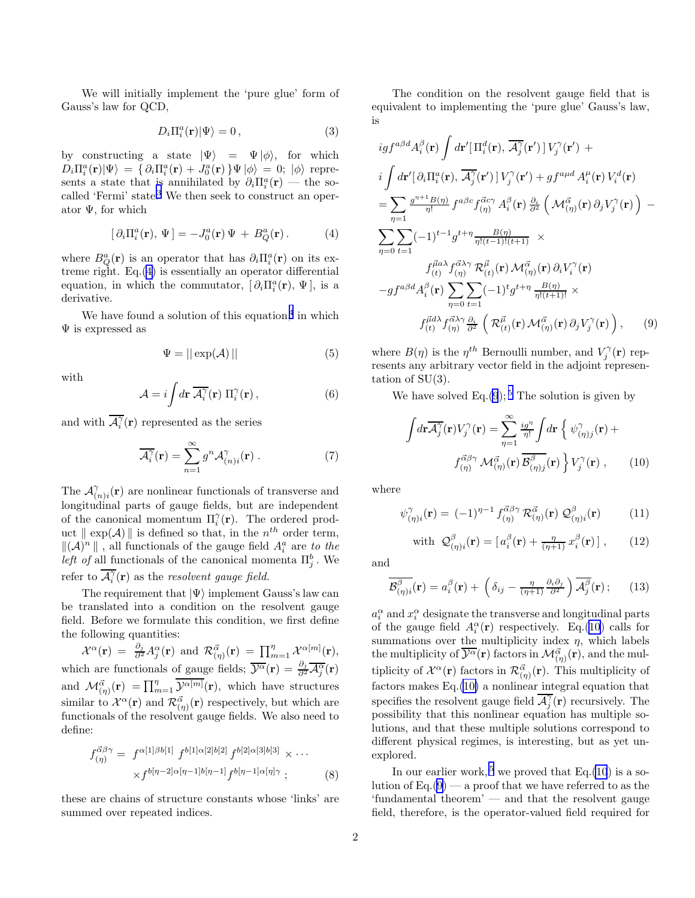We will initially implement the 'pure glue' form of Gauss's law for QCD,

$$
D_i \Pi_i^a(\mathbf{r}) |\Psi\rangle = 0 , \qquad (3)
$$

by constructing a state  $|\Psi\rangle = \Psi |\phi\rangle$ , for which  $D_i \Pi_i^a(\mathbf{r}) |\Psi\rangle = \{ \partial_i \Pi_i^a(\mathbf{r}) + J_0^a(\mathbf{r}) \} \Psi |\phi\rangle = 0; |\phi\rangle$  represents a state that is annihilated by  $\partial_i \Pi_i^a(\mathbf{r})$  — the so-called 'Fermi' state.<sup>[3](#page-4-0)</sup> We then seek to construct an operator  $\Psi$ , for which

$$
[\partial_i \Pi_i^a(\mathbf{r}), \Psi] = -J_0^a(\mathbf{r}) \Psi + B_Q^a(\mathbf{r}). \tag{4}
$$

where  $B_Q^a(\mathbf{r})$  is an operator that has  $\partial_i \Pi_i^a(\mathbf{r})$  on its extreme right. Eq.(4) is essentially an operator differential equation, in which the commutator,  $[\partial_i \Pi_i^a(\mathbf{r}), \Psi]$ , is a derivative.

We have found a solution of this equation,<sup>[4](#page-4-0)</sup> in which  $\Psi$  is expressed as

$$
\Psi = ||\exp(\mathcal{A})||\tag{5}
$$

with

$$
\mathcal{A} = i \int d\mathbf{r} \, \overline{\mathcal{A}_i^{\gamma}}(\mathbf{r}) \, \Pi_i^{\gamma}(\mathbf{r}), \qquad (6)
$$

and with  $\overline{\mathcal{A}_i^{\gamma}}(\mathbf{r})$  represented as the series

$$
\overline{\mathcal{A}_i^{\gamma}}(\mathbf{r}) = \sum_{n=1}^{\infty} g^n \mathcal{A}_{(n)i}^{\gamma}(\mathbf{r}) . \qquad (7)
$$

The  $\mathcal{A}_{\alpha}^{\gamma}$  $C_{(n)i}^{\gamma}(\mathbf{r})$  are nonlinear functionals of transverse and longitudinal parts of gauge fields, but are independent of the canonical momentum  $\Pi_i^{\gamma}(\mathbf{r})$ . The ordered product  $\parallel \exp(\mathcal{A}) \parallel$  is defined so that, in the  $n^{th}$  order term,  $\|(\mathcal{A})^n\|$  , all functionals of the gauge field  $A_i^a$  are to the *left of* all functionals of the canonical momenta  $\Pi_j^b$ . We refer to  $\overline{\mathcal{A}_i^{\gamma}}(\mathbf{r})$  as the *resolvent gauge field.* 

The requirement that  $|\Psi\rangle$  implement Gauss's law can be translated into a condition on the resolvent gauge field. Before we formulate this condition, we first define the following quantities:

 $\mathcal{X}^{\alpha}(\mathbf{r}) = \frac{\partial_j}{\partial^2} A^{\alpha}_j(\mathbf{r}) \text{ and } \mathcal{R}^{\vec{\alpha}}_{(\eta)}(\mathbf{r}) = \prod_{m=1}^{\eta} \mathcal{X}^{\alpha[m]}(\mathbf{r}),$ which are functionals of gauge fields;  $\overline{\mathcal{Y}^{\alpha}}(\mathbf{r}) = \frac{\partial_j}{\partial^2} \overline{\mathcal{A}_j^{\alpha}}(\mathbf{r})$ and  $\mathcal{M}_{(\eta)}^{\vec{\alpha}}(\mathbf{r}) = \prod_{m=1}^{\eta} \overline{\mathcal{V}^{\alpha[m]}}(\mathbf{r})$ , which have structures similar to  $\mathcal{X}^{\alpha}(\mathbf{r})$  and  $\mathcal{R}_{(\eta)}^{\vec{\alpha}}(\mathbf{r})$  respectively, but which are functionals of the resolvent gauge fields. We also need to define:

$$
f_{(\eta)}^{\vec{\alpha}\beta\gamma} = f^{\alpha[1]\beta b[1]} f^{b[1]\alpha[2]b[2]} f^{b[2]\alpha[3]b[3]} \times \cdots
$$
  
 
$$
\times f^{b[\eta-2]\alpha[\eta-1]b[\eta-1]} f^{b[\eta-1]\alpha[\eta]\gamma} ; \qquad (8)
$$

these are chains of structure constants whose 'links' are summed over repeated indices.

The condition on the resolvent gauge field that is equivalent to implementing the 'pure glue' Gauss's law, is

$$
igf^{a\beta d}A_i^{\beta}(\mathbf{r})\int d\mathbf{r}'[\Pi_i^d(\mathbf{r}),\overline{A_j^{\gamma}}(\mathbf{r}')]V_j^{\gamma}(\mathbf{r}') +\ni\int d\mathbf{r}'[\partial_i\Pi_i^a(\mathbf{r}),\overline{A_j^{\gamma}}(\mathbf{r}')]V_j^{\gamma}(\mathbf{r}') + gf^{a\mu d}A_i^{\mu}(\mathbf{r})V_i^d(\mathbf{r})\n= \sum_{\eta=1} \frac{g^{\eta+1}B(\eta)}{\eta!}f^{a\beta c}f^{\vec{\alpha} c\gamma}_{(\eta)}A_i^{\beta}(\mathbf{r})\frac{\partial_i}{\partial^2}\left(\mathcal{M}_{(\eta)}^{\vec{\alpha}}(\mathbf{r})\partial_jV_j^{\gamma}(\mathbf{r})\right) -\n\sum_{\eta=0} \sum_{t=1} (-1)^{t-1}g^{t+\eta}\frac{B(\eta)}{\eta!(t-1)!(t+1)} \times\nf^{\vec{\mu}a\lambda}_{(t)}f^{\vec{\alpha}\lambda\gamma}_{(\eta)}\mathcal{R}_{(t)}^{\vec{\mu}}(\mathbf{r})\mathcal{M}_{(\eta)}^{\vec{\alpha}}(\mathbf{r})\partial_iV_i^{\gamma}(\mathbf{r})\n-gf^{a\beta d}A_i^{\beta}(\mathbf{r})\sum_{\eta=0} \sum_{t=1} (-1)^t g^{t+\eta}\frac{B(\eta)}{\eta!(t+1)!} \times\nf^{\vec{\mu}d\lambda}_{(t)}f^{\vec{\alpha}\lambda\gamma}_{(\eta)}\frac{\partial_i}{\partial^2}\left(\mathcal{R}_{(t)}^{\vec{\mu}}(\mathbf{r})\mathcal{M}_{(\eta)}^{\vec{\alpha}}(\mathbf{r})\partial_jV_j^{\gamma}(\mathbf{r})\right), \qquad (9)
$$

where  $B(\eta)$  is the  $\eta^{th}$  Bernoulli number, and  $V_j^{\gamma}(\mathbf{r})$  represents any arbitrary vector field in the adjoint representation of SU(3).

We have solved Eq. $(9)$ ;<sup>[5](#page-4-0)</sup> The solution is given by

$$
\int d\mathbf{r} \overline{\mathcal{A}_{j}^{\gamma}}(\mathbf{r}) V_{j}^{\gamma}(\mathbf{r}) = \sum_{\eta=1}^{\infty} \frac{i g^{\eta}}{\eta!} \int d\mathbf{r} \left\{ \psi_{(\eta)j}^{\gamma}(\mathbf{r}) + f_{(\eta)}^{\vec{\alpha}\beta\gamma} \mathcal{M}_{(\eta)}^{\vec{\alpha}}(\mathbf{r}) \overline{B_{(\eta)j}^{\beta}}(\mathbf{r}) \right\} V_{j}^{\gamma}(\mathbf{r}), \qquad (10)
$$

where

$$
\psi_{(\eta)i}^{\gamma}(\mathbf{r}) = (-1)^{\eta-1} f_{(\eta)}^{\vec{\alpha}\beta\gamma} \mathcal{R}_{(\eta)}^{\vec{\alpha}}(\mathbf{r}) \mathcal{Q}_{(\eta)i}^{\beta}(\mathbf{r}) \qquad (11)
$$

with 
$$
Q_{(\eta)i}^{\beta}(\mathbf{r}) = [a_i^{\beta}(\mathbf{r}) + \frac{\eta}{(\eta+1)} x_i^{\beta}(\mathbf{r})],
$$
 (12)

and

$$
\overline{\mathcal{B}^{\beta}_{(\eta)i}}(\mathbf{r}) = a_i^{\beta}(\mathbf{r}) + \left(\delta_{ij} - \frac{\eta}{(\eta+1)} \frac{\partial_i \partial_j}{\partial^2}\right) \overline{\mathcal{A}_j^{\beta}}(\mathbf{r});\qquad(13)
$$

 $a_i^{\alpha}$  and  $x_i^{\alpha}$  designate the transverse and longitudinal parts of the gauge field  $A_i^{\alpha}(\mathbf{r})$  respectively. Eq.(10) calls for summations over the multiplicity index  $\eta$ , which labels the multiplicity of  $\overline{\mathcal{Y}^{\alpha}}(\mathbf{r})$  factors in  $\mathcal{M}^{\vec{\alpha}}_{(\eta)}(\mathbf{r})$ , and the multiplicity of  $\mathcal{X}^{\alpha}(\mathbf{r})$  factors in  $\mathcal{R}_{(\eta)}^{\vec{\alpha}}(\mathbf{r})$ . This multiplicity of factors makes Eq.(10) a nonlinear integral equation that specifies the resolvent gauge field  $\overline{\mathcal{A}^{\gamma}_{j}}(\mathbf{r})$  recursively. The possibility that this nonlinear equation has multiple solutions, and that these multiple solutions correspond to different physical regimes, is interesting, but as yet unexplored.

In our earlier work,  $5$  we proved that Eq.(10) is a solution of  $Eq.(9)$  — a proof that we have referred to as the 'fundamental theorem' — and that the resolvent gauge field, therefore, is the operator-valued field required for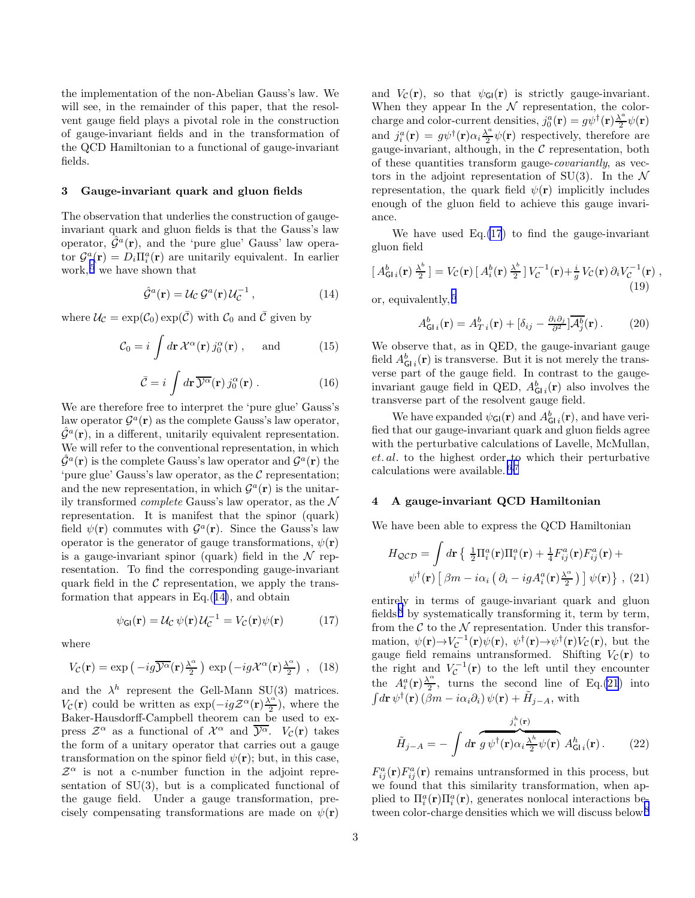the implementation of the non-Abelian Gauss's law. We will see, in the remainder of this paper, that the resolvent gauge field plays a pivotal role in the construction of gauge-invariant fields and in the transformation of the QCD Hamiltonian to a functional of gauge-invariant fields.

#### 3 Gauge-invariant quark and gluon fields

The observation that underlies the construction of gaugeinvariant quark and gluon fields is that the Gauss's law operator,  $\hat{\mathcal{G}}^a(\mathbf{r})$ , and the 'pure glue' Gauss' law operator  $\mathcal{G}^a(\mathbf{r}) = D_i \Pi_i^a(\mathbf{r})$  are unitarily equivalent. In earlier work,<sup>[5](#page-4-0)</sup> we have shown that

$$
\hat{\mathcal{G}}^a(\mathbf{r}) = \mathcal{U}_{\mathcal{C}} \mathcal{G}^a(\mathbf{r}) \mathcal{U}_{\mathcal{C}}^{-1},\tag{14}
$$

where  $\mathcal{U}_{\mathcal{C}} = \exp(\mathcal{C}_0) \exp(\bar{\mathcal{C}})$  with  $\mathcal{C}_0$  and  $\bar{\mathcal{C}}$  given by

$$
\mathcal{C}_0 = i \int d\mathbf{r} \, \mathcal{X}^\alpha(\mathbf{r}) \, j_0^\alpha(\mathbf{r}) \;, \quad \text{and} \tag{15}
$$

$$
\bar{\mathcal{C}} = i \int d\mathbf{r} \, \overline{\mathcal{Y}^{\alpha}}(\mathbf{r}) \, j_0^{\alpha}(\mathbf{r}) \, . \tag{16}
$$

We are therefore free to interpret the 'pure glue' Gauss's law operator  $\mathcal{G}^a(\mathbf{r})$  as the complete Gauss's law operator,  $\hat{\mathcal{G}}^a(\mathbf{r})$ , in a different, unitarily equivalent representation. We will refer to the conventional representation, in which  $\hat{\mathcal{G}}^a(\mathbf{r})$  is the complete Gauss's law operator and  $\mathcal{G}^a(\mathbf{r})$  the 'pure glue' Gauss's law operator, as the  $\mathcal C$  representation; and the new representation, in which  $\mathcal{G}^a(\mathbf{r})$  is the unitarily transformed *complete* Gauss's law operator, as the  $N$ representation. It is manifest that the spinor (quark) field  $\psi(\mathbf{r})$  commutes with  $\mathcal{G}^a(\mathbf{r})$ . Since the Gauss's law operator is the generator of gauge transformations,  $\psi(\mathbf{r})$ is a gauge-invariant spinor (quark) field in the  $\mathcal N$  representation. To find the corresponding gauge-invariant quark field in the  $\mathcal C$  representation, we apply the transformation that appears in Eq.(14), and obtain

$$
\psi_{\mathsf{GI}}(\mathbf{r}) = \mathcal{U}_{\mathcal{C}} \psi(\mathbf{r}) \mathcal{U}_{\mathcal{C}}^{-1} = V_{\mathcal{C}}(\mathbf{r}) \psi(\mathbf{r}) \tag{17}
$$

where

$$
V_C(\mathbf{r}) = \exp\left(-ig\overline{\mathcal{Y}^{\alpha}}(\mathbf{r})\frac{\lambda^{\alpha}}{2}\right) \exp\left(-ig\mathcal{X}^{\alpha}(\mathbf{r})\frac{\lambda^{\alpha}}{2}\right) , \quad (18)
$$

and the  $\lambda^h$  represent the Gell-Mann SU(3) matrices.  $V_{\mathcal{C}}(\mathbf{r})$  could be written as  $\exp(-ig\mathcal{Z}^{\alpha}(\mathbf{r})\frac{\lambda^{\alpha}}{2})$ , where the Baker-Hausdorff-Campbell theorem can be used to express  $\mathcal{Z}^{\alpha}$  as a functional of  $\mathcal{X}^{\alpha}$  and  $\overline{\mathcal{Y}^{\alpha}}$ .  $V_{\mathcal{C}}(\mathbf{r})$  takes the form of a unitary operator that carries out a gauge transformation on the spinor field  $\psi(\mathbf{r})$ ; but, in this case,  $\mathcal{Z}^{\alpha}$  is not a c-number function in the adjoint representation of SU(3), but is a complicated functional of the gauge field. Under a gauge transformation, precisely compensating transformations are made on  $\psi(\mathbf{r})$ 

and  $V_c(\mathbf{r})$ , so that  $\psi_{\text{GI}}(\mathbf{r})$  is strictly gauge-invariant. When they appear In the  $N$  representation, the colorcharge and color-current densities,  $j_0^a(\mathbf{r}) = g\psi^{\dagger}(\mathbf{r})\frac{\lambda^a}{2}$  $\frac{\sqrt{2}}{2}\psi(\mathbf{r})$ and  $j_i^a(\mathbf{r}) = g\psi^{\dagger}(\mathbf{r})\alpha_i \frac{\lambda^a}{2}$  $\frac{\mathbf{r}^2}{2}\psi(\mathbf{r})$  respectively, therefore are gauge-invariant, although, in the  $C$  representation, both of these quantities transform gauge-covariantly, as vectors in the adjoint representation of SU(3). In the  $\mathcal N$ representation, the quark field  $\psi(\mathbf{r})$  implicitly includes enough of the gluon field to achieve this gauge invariance.

We have used  $Eq.(17)$  to find the gauge-invariant gluon field

$$
[A_{\mathsf{GI}i}^{b}(\mathbf{r})\frac{\lambda^{b}}{2}] = V_{\mathcal{C}}(\mathbf{r})[A_{i}^{b}(\mathbf{r})\frac{\lambda^{b}}{2}]V_{\mathcal{C}}^{-1}(\mathbf{r}) + \frac{i}{g}V_{\mathcal{C}}(\mathbf{r})\partial_{i}V_{\mathcal{C}}^{-1}(\mathbf{r}),
$$
\n(19)

or, equivalently, [5](#page-4-0)

$$
A_{\mathsf{GI}\,i}^{b}(\mathbf{r}) = A_{T\,i}^{b}(\mathbf{r}) + [\delta_{ij} - \frac{\partial_{i}\partial_{j}}{\partial^{2}}] \overline{\mathcal{A}_{j}^{b}}(\mathbf{r}). \tag{20}
$$

We observe that, as in QED, the gauge-invariant gauge field  $A_{GI}^b(\mathbf{r})$  is transverse. But it is not merely the transverse part of the gauge field. In contrast to the gaugeinvariant gauge field in QED,  $A_{GI}^b(\mathbf{r})$  also involves the transverse part of the resolvent gauge field.

We have expanded  $\psi_{GI}(\mathbf{r})$  and  $A_{GI}^b(\mathbf{r})$ , and have verified that our gauge-invariant quark and gluon fields agree with the perturbative calculations of Lavelle, McMullan, et. al. to the highest order to which their perturbative calculations were available. [6](#page-4-0),[7](#page-4-0)

# 4 A gauge-invariant QCD Hamiltonian

We have been able to express the QCD Hamiltonian

$$
H_{\mathcal{QCD}} = \int d\mathbf{r} \left\{ \frac{1}{2} \Pi_i^a(\mathbf{r}) \Pi_i^a(\mathbf{r}) + \frac{1}{4} F_{ij}^a(\mathbf{r}) F_{ij}^a(\mathbf{r}) + \psi^\dagger(\mathbf{r}) \left[ \beta m - i \alpha_i \left( \partial_i - i g A_i^a(\mathbf{r}) \frac{\lambda^{\alpha}}{2} \right) \right] \psi(\mathbf{r}) \right\}, \tag{21}
$$

entirely in terms of gauge-invariant quark and gluon fields,<sup>[8](#page-4-0)</sup> by systematically transforming it, term by term, from the  $\mathcal C$  to the  $\mathcal N$  representation. Under this transformation,  $\psi(\mathbf{r}) \rightarrow V_{\mathcal{C}}^{-1}(\mathbf{r}) \psi(\mathbf{r}), \ \psi^{\dagger}(\mathbf{r}) \rightarrow \psi^{\dagger}(\mathbf{r}) V_{\mathcal{C}}(\mathbf{r}),$  but the gauge field remains untransformed. Shifting  $V_c(\mathbf{r})$  to the right and  $V_c^{-1}(\mathbf{r})$  to the left until they encounter the  $A_i^a(\mathbf{r})\frac{\lambda^a}{2}$  $\frac{C}{2}$ , turns the second line of Eq.(21) into  $\int d\mathbf{r} \, \psi^{\dagger}(\mathbf{r}) \left(\beta m - i\alpha_i\partial_i\right) \psi(\mathbf{r}) + \tilde{H}_{j-A}, \text{ with}$ 

$$
\tilde{H}_{j-A} = -\int d\mathbf{r} \overbrace{g \,\psi^{\dagger}(\mathbf{r}) \alpha_i \frac{\lambda^h}{2} \psi(\mathbf{r})}^{\substack{j_i^h(\mathbf{r})} \Lambda} A_{\mathsf{GI}i}^h(\mathbf{r}) \,. \tag{22}
$$

 $F_{ij}^a(\mathbf{r})F_{ij}^a(\mathbf{r})$  remains untransformed in this process, but we found that this similarity transformation, when applied to  $\Pi_i^a(\mathbf{r})\Pi_i^a(\mathbf{r})$ , generates nonlocal interactions be-tween color-charge densities which we will discuss below.<sup>[8](#page-4-0)</sup>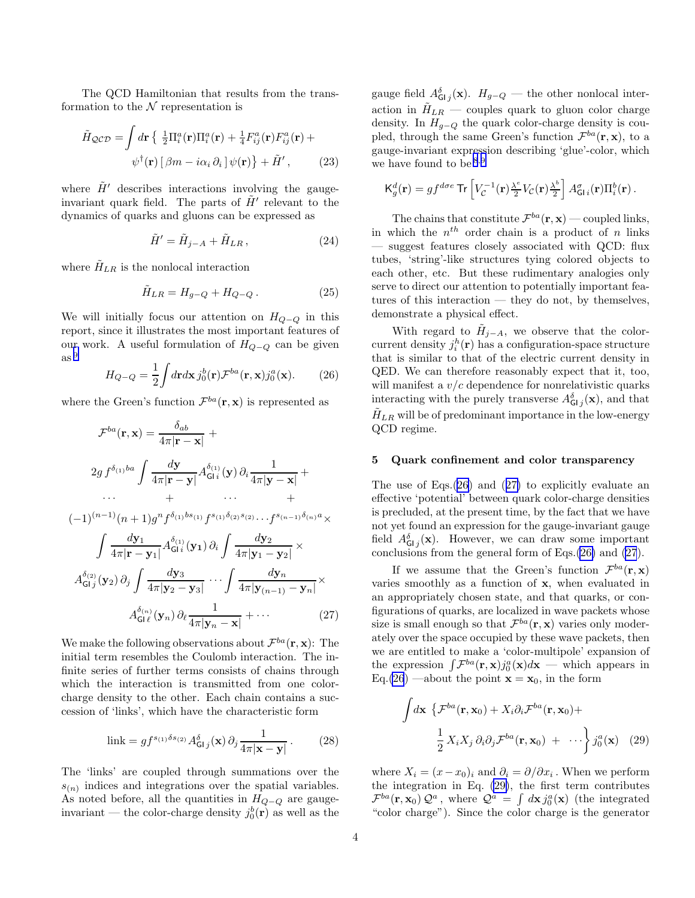<span id="page-3-0"></span>The QCD Hamiltonian that results from the transformation to the  $N$  representation is

$$
\tilde{H}_{\mathcal{QCD}} = \int d\mathbf{r} \left\{ \frac{1}{2} \Pi_i^a(\mathbf{r}) \Pi_i^a(\mathbf{r}) + \frac{1}{4} F_{ij}^a(\mathbf{r}) F_{ij}^a(\mathbf{r}) + \psi^\dagger(\mathbf{r}) \left[ \beta m - i \alpha_i \partial_i \right] \psi(\mathbf{r}) \right\} + \tilde{H}', \tag{23}
$$

where  $\tilde{H}'$  describes interactions involving the gaugeinvariant quark field. The parts of  $\tilde{H}'$  relevant to the dynamics of quarks and gluons can be expressed as

$$
\tilde{H}' = \tilde{H}_{j-A} + \tilde{H}_{LR},\qquad(24)
$$

where  $H_{LR}$  is the nonlocal interaction

$$
\tilde{H}_{LR} = H_{g-Q} + H_{Q-Q} \,. \tag{25}
$$

We will initially focus our attention on  $H_{Q-Q}$  in this report, since it illustrates the most important features of our work. A useful formulation of  $H_{Q-Q}$  can be given as [9](#page-4-0)

$$
H_{Q-Q} = \frac{1}{2} \int d\mathbf{r} d\mathbf{x} \, j_0^b(\mathbf{r}) \mathcal{F}^{ba}(\mathbf{r}, \mathbf{x}) j_0^a(\mathbf{x}). \tag{26}
$$

where the Green's function  $\mathcal{F}^{ba}(\mathbf{r}, \mathbf{x})$  is represented as

$$
\mathcal{F}^{ba}(\mathbf{r}, \mathbf{x}) = \frac{\delta_{ab}}{4\pi |\mathbf{r} - \mathbf{x}|} +
$$
  
2g  $f^{\delta_{(1)}ba} \int \frac{d\mathbf{y}}{4\pi |\mathbf{r} - \mathbf{y}|} A^{\delta_{(1)}}_{\mathsf{GI}i}(\mathbf{y}) \partial_i \frac{1}{4\pi |\mathbf{y} - \mathbf{x}|} +$   
... + ... +

$$
(-1)^{(n-1)}(n+1)g^n f^{\delta_{(1)}bs_{(1)}} f^{s_{(1)}\delta_{(2)}s_{(2)}} \cdots f^{s_{(n-1)}\delta_{(n)}a} \times
$$

$$
\int \frac{d\mathbf{y}_1}{4\pi |\mathbf{r} - \mathbf{y}_1|} A_{\mathsf{GI}i}^{\delta_{(1)}}(\mathbf{y}_1) \partial_i \int \frac{d\mathbf{y}_2}{4\pi |\mathbf{y}_1 - \mathbf{y}_2|} \times A_{\mathsf{GI}j}^{\delta_{(2)}}(\mathbf{y}_2) \partial_j \int \frac{d\mathbf{y}_3}{4\pi |\mathbf{y}_2 - \mathbf{y}_3|} \cdots \int \frac{d\mathbf{y}_n}{4\pi |\mathbf{y}_{(n-1)} - \mathbf{y}_n|} \times A_{\mathsf{GI} \ell}^{\delta_{(n)}}(\mathbf{y}_n) \partial_\ell \frac{1}{4\pi |\mathbf{y}_n - \mathbf{x}|} + \cdots
$$
 (27)

We make the following observations about  $\mathcal{F}^{ba}(\mathbf{r}, \mathbf{x})$ : The initial term resembles the Coulomb interaction. The infinite series of further terms consists of chains through which the interaction is transmitted from one colorcharge density to the other. Each chain contains a succession of 'links', which have the characteristic form

$$
\text{link} = gf^{s_{(1)}\delta s_{(2)}} A^{\delta}_{\mathsf{GI}j}(\mathbf{x}) \partial_j \frac{1}{4\pi |\mathbf{x} - \mathbf{y}|}. \tag{28}
$$

The 'links' are coupled through summations over the  $s_{(n)}$  indices and integrations over the spatial variables. As noted before, all the quantities in  $H_{Q-Q}$  are gaugeinvariant — the color-charge density  $j_0^b(\mathbf{r})$  as well as the

gauge field  $A_{\mathsf{GI}_j}^{\delta}(\mathbf{x})$ .  $H_{g-Q}$  — the other nonlocal interaction in  $H_{LR}$  — couples quark to gluon color charge density. In  $H_{q-Q}$  the quark color-charge density is coupled, through the same Green's function  $\mathcal{F}^{ba}(\mathbf{r}, \mathbf{x})$ , to a gauge-invariant expression describing 'glue'-color, which we have found to be  $8,9$  $8,9$  $8,9$ 

$$
\mathsf{K}^d_g(\mathbf{r}) = gf^{d\sigma e} \mathsf{Tr}\left[V_{\mathcal{C}}^{-1}(\mathbf{r})\frac{\lambda^e}{2}V_{\mathcal{C}}(\mathbf{r})\frac{\lambda^b}{2}\right]A^{\sigma}_{\mathsf{GI}i}(\mathbf{r})\Pi^b_i(\mathbf{r})\,.
$$

The chains that constitute  $\mathcal{F}^{ba}(\mathbf{r}, \mathbf{x})$  — coupled links, in which the  $n^{th}$  order chain is a product of n links — suggest features closely associated with QCD: flux tubes, 'string'-like structures tying colored objects to each other, etc. But these rudimentary analogies only serve to direct our attention to potentially important features of this interaction — they do not, by themselves, demonstrate a physical effect.

With regard to  $\tilde{H}_{j-A}$ , we observe that the colorcurrent density  $j_i^h(\mathbf{r})$  has a configuration-space structure that is similar to that of the electric current density in QED. We can therefore reasonably expect that it, too, will manifest a  $v/c$  dependence for nonrelativistic quarks interacting with the purely transverse  $A_{\mathsf{GI}\,j}^{\delta}(\mathbf{x})$ , and that  $H_{LR}$  will be of predominant importance in the low-energy QCD regime.

#### 5 Quark confinement and color transparency

The use of Eqs.(26) and (27) to explicitly evaluate an effective 'potential' between quark color-charge densities is precluded, at the present time, by the fact that we have not yet found an expression for the gauge-invariant gauge field  $A_{GIj}^{\delta}(\mathbf{x})$ . However, we can draw some important conclusions from the general form of Eqs.(26) and (27).

If we assume that the Green's function  $\mathcal{F}^{ba}(\mathbf{r}, \mathbf{x})$ varies smoothly as a function of x, when evaluated in an appropriately chosen state, and that quarks, or configurations of quarks, are localized in wave packets whose size is small enough so that  $\mathcal{F}^{ba}(\mathbf{r}, \mathbf{x})$  varies only moderately over the space occupied by these wave packets, then we are entitled to make a 'color-multipole' expansion of the expression  $\int \mathcal{F}^{ba}(\mathbf{r}, \mathbf{x}) j_0^a(\mathbf{x}) d\mathbf{x}$  — which appears in Eq.(26) —about the point  $\mathbf{x} = \mathbf{x}_0$ , in the form

$$
\int d\mathbf{x} \left\{ \mathcal{F}^{ba}(\mathbf{r}, \mathbf{x}_0) + X_i \partial_i \mathcal{F}^{ba}(\mathbf{r}, \mathbf{x}_0) + \frac{1}{2} X_i X_j \partial_i \partial_j \mathcal{F}^{ba}(\mathbf{r}, \mathbf{x}_0) + \cdots \right\} j_0^a(\mathbf{x}) \quad (29)
$$

where  $X_i = (x - x_0)_i$  and  $\partial_i = \partial/\partial x_i$ . When we perform the integration in Eq. (29), the first term contributes  $\mathcal{F}^{ba}(\mathbf{r}, \mathbf{x}_0) \mathcal{Q}^a$ , where  $\mathcal{Q}^a = \int d\mathbf{x} j_0^a(\mathbf{x})$  (the integrated "color charge"). Since the color charge is the generator